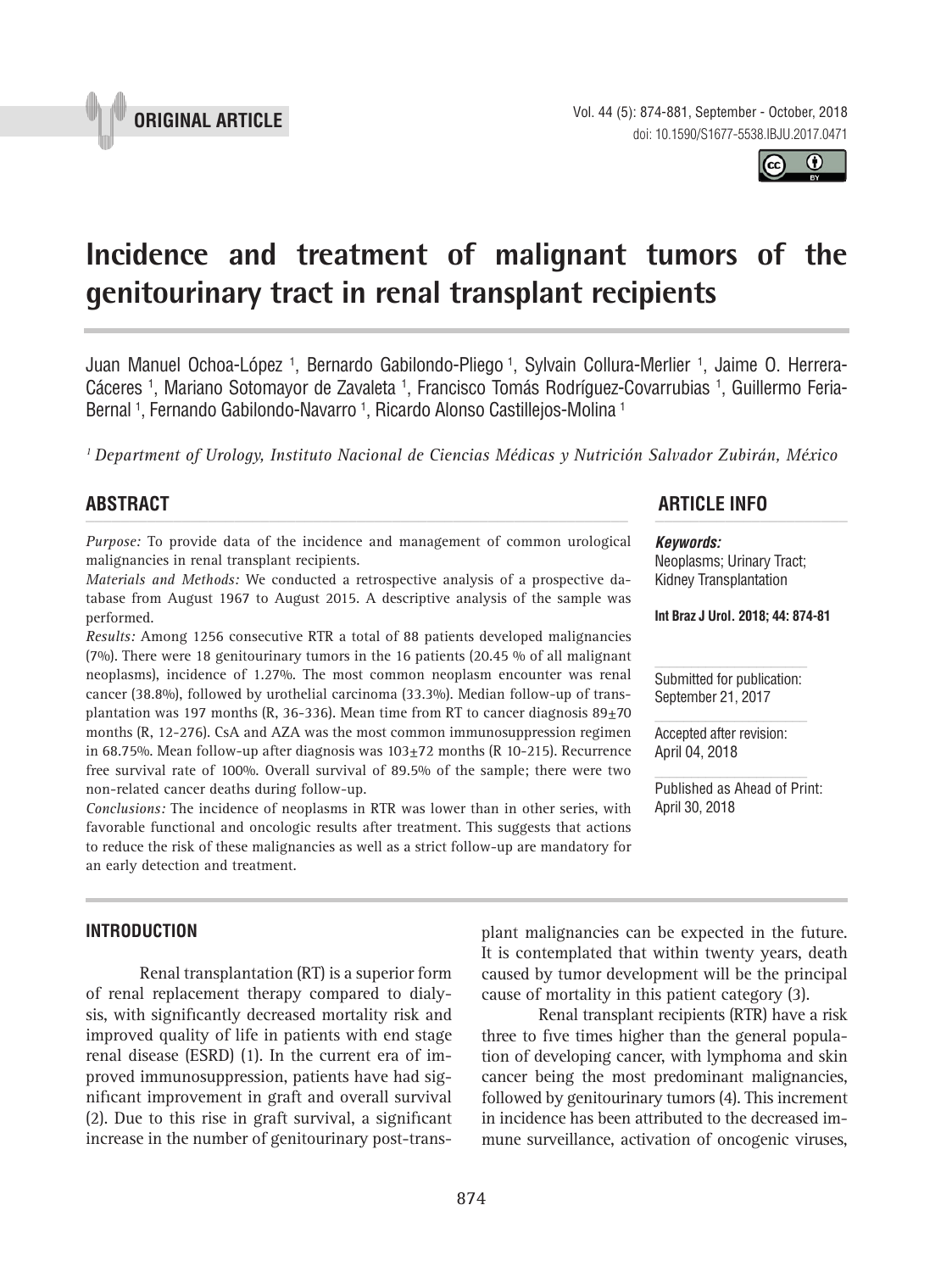



# **Incidence and treatment of malignant tumors of the genitourinary tract in renal transplant recipients 1**

Juan Manuel Ochoa-López <sup>1</sup>, Bernardo Gabilondo-Pliego <sup>1</sup>, Sylvain Collura-Merlier <sup>1</sup>, Jaime O. Herrera-Cáceres <sup>1</sup>, Mariano Sotomayor de Zavaleta <sup>1</sup>, Francisco Tomás Rodríguez-Covarrubias <sup>1</sup>, Guillermo Feria-Bernal <sup>1</sup>, Fernando Gabilondo-Navarro <sup>1</sup>, Ricardo Alonso Castillejos-Molina <sup>1</sup>

*1 Department of Urology, Instituto Nacional de Ciencias Médicas y Nutrición Salvador Zubirán, México*

*Purpose:* To provide data of the incidence and management of common urological malignancies in renal transplant recipients.

*Materials and Methods:* We conducted a retrospective analysis of a prospective database from August 1967 to August 2015. A descriptive analysis of the sample was performed.

*Results:* Among 1256 consecutive RTR a total of 88 patients developed malignancies (7%). There were 18 genitourinary tumors in the 16 patients (20.45 % of all malignant neoplasms), incidence of 1.27%. The most common neoplasm encounter was renal cancer (38.8%), followed by urothelial carcinoma (33.3%). Median follow-up of transplantation was 197 months (R, 36-336). Mean time from RT to cancer diagnosis  $89\pm70$ months (R, 12-276). CsA and AZA was the most common immunosuppression regimen in 68.75%. Mean follow-up after diagnosis was  $103\pm72$  months (R 10-215). Recurrence free survival rate of 100%. Overall survival of 89.5% of the sample; there were two non-related cancer deaths during follow-up.

*Conclusions:* The incidence of neoplasms in RTR was lower than in other series, with favorable functional and oncologic results after treatment. This suggests that actions to reduce the risk of these malignancies as well as a strict follow-up are mandatory for an early detection and treatment.

# **INTRODUCTION**

Renal transplantation (RT) is a superior form of renal replacement therapy compared to dialysis, with significantly decreased mortality risk and improved quality of life in patients with end stage renal disease (ESRD) (1). In the current era of improved immunosuppression, patients have had significant improvement in graft and overall survival (2). Due to this rise in graft survival, a significant increase in the number of genitourinary post-trans-

# **ABSTRACT ARTICLE INFO** *\_\_\_\_\_\_\_\_\_\_\_\_\_\_\_\_\_\_\_\_\_\_\_\_\_\_\_\_\_\_\_\_\_\_\_\_\_\_\_\_\_\_\_\_\_\_\_\_\_\_\_\_\_\_\_\_\_\_\_\_\_\_ \_\_\_\_\_\_\_\_\_\_\_\_\_\_\_\_\_\_\_\_\_\_*

#### *Keywords:*

Neoplasms; Urinary Tract; Kidney Transplantation

**Int Braz J Urol. 2018; 44: 874-81**

Submitted for publication: September 21, 2017

Accepted after revision: April 04, 2018

Published as Ahead of Print: April 30, 2018

plant malignancies can be expected in the future. It is contemplated that within twenty years, death caused by tumor development will be the principal cause of mortality in this patient category (3).

Renal transplant recipients (RTR) have a risk three to five times higher than the general population of developing cancer, with lymphoma and skin cancer being the most predominant malignancies, followed by genitourinary tumors (4). This increment in incidence has been attributed to the decreased immune surveillance, activation of oncogenic viruses,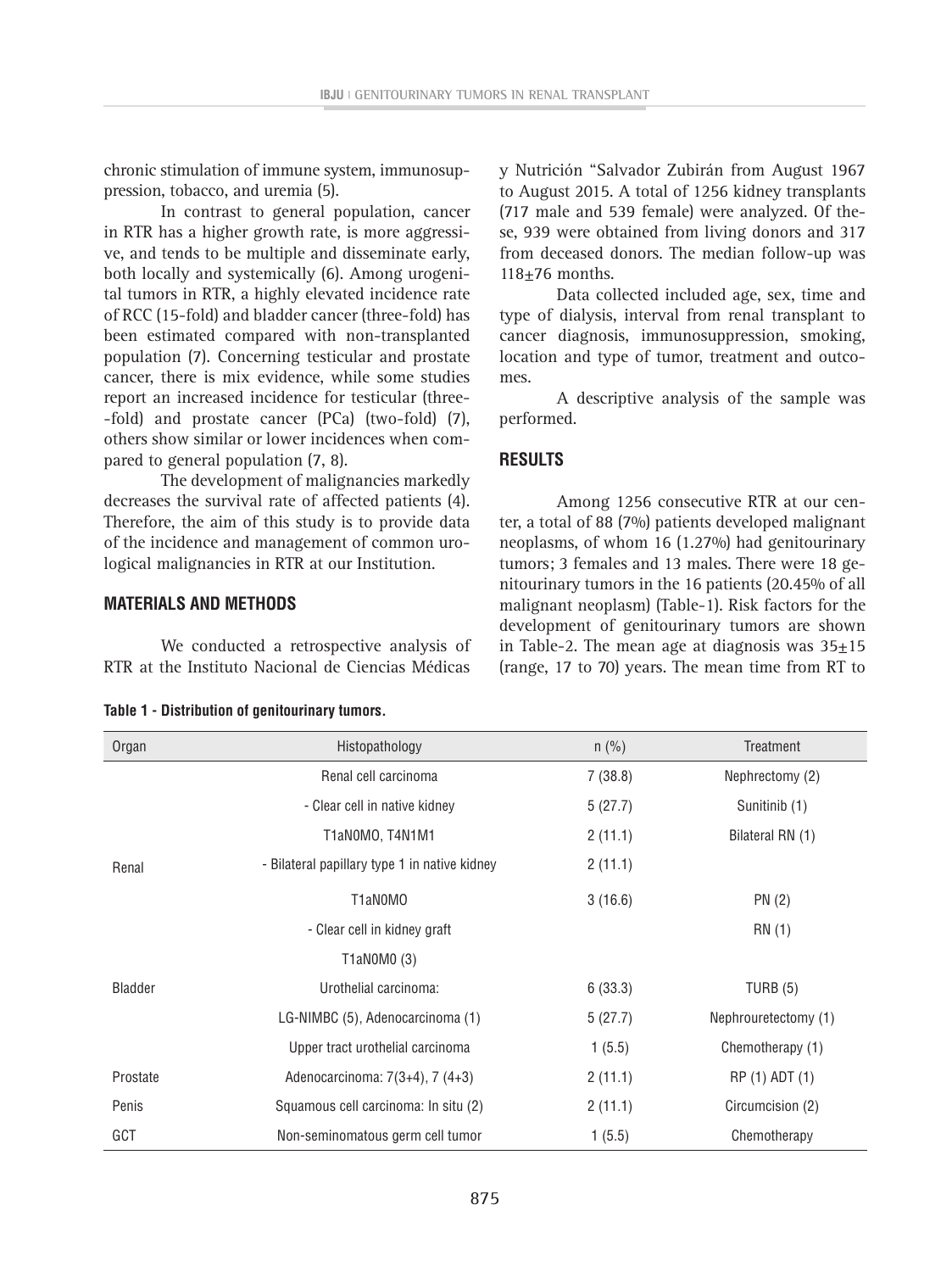chronic stimulation of immune system, immunosuppression, tobacco, and uremia (5).

In contrast to general population, cancer in RTR has a higher growth rate, is more aggressive, and tends to be multiple and disseminate early, both locally and systemically (6). Among urogenital tumors in RTR, a highly elevated incidence rate of RCC (15-fold) and bladder cancer (three-fold) has been estimated compared with non-transplanted population (7). Concerning testicular and prostate cancer, there is mix evidence, while some studies report an increased incidence for testicular (three- -fold) and prostate cancer (PCa) (two-fold) (7), others show similar or lower incidences when compared to general population (7, 8).

The development of malignancies markedly decreases the survival rate of affected patients (4). Therefore, the aim of this study is to provide data of the incidence and management of common urological malignancies in RTR at our Institution.

# **MATERIALS AND METHODS**

We conducted a retrospective analysis of RTR at the Instituto Nacional de Ciencias Médicas y Nutrición "Salvador Zubirán from August 1967 to August 2015. A total of 1256 kidney transplants (717 male and 539 female) were analyzed. Of these, 939 were obtained from living donors and 317 from deceased donors. The median follow-up was 118±76 months.

Data collected included age, sex, time and type of dialysis, interval from renal transplant to cancer diagnosis, immunosuppression, smoking, location and type of tumor, treatment and outcomes.

A descriptive analysis of the sample was performed.

# **RESULTS**

Among 1256 consecutive RTR at our center, a total of 88 (7%) patients developed malignant neoplasms, of whom 16 (1.27%) had genitourinary tumors; 3 females and 13 males. There were 18 genitourinary tumors in the 16 patients (20.45% of all malignant neoplasm) (Table-1). Risk factors for the development of genitourinary tumors are shown in Table-2. The mean age at diagnosis was  $35\pm15$ (range, 17 to 70) years. The mean time from RT to

| Organ          | Histopathology<br>$n$ (%)<br>Treatment        |         |                      |  |
|----------------|-----------------------------------------------|---------|----------------------|--|
|                | Renal cell carcinoma                          |         | Nephrectomy (2)      |  |
|                | - Clear cell in native kidney                 | 5(27.7) | Sunitinib (1)        |  |
|                | T1aN0MO, T4N1M1                               | 2(11.1) | Bilateral RN (1)     |  |
| Renal          | - Bilateral papillary type 1 in native kidney | 2(11.1) |                      |  |
|                | T1aN0MO                                       | 3(16.6) | PN(2)                |  |
|                | - Clear cell in kidney graft                  |         | RN (1)               |  |
|                | T1aN0M0 (3)                                   |         |                      |  |
| <b>Bladder</b> | Urothelial carcinoma:                         | 6(33.3) | TURB $(5)$           |  |
|                | LG-NIMBC (5), Adenocarcinoma (1)              | 5(27.7) | Nephrouretectomy (1) |  |
|                | Upper tract urothelial carcinoma              | 1(5.5)  | Chemotherapy (1)     |  |
| Prostate       | Adenocarcinoma: 7(3+4), 7 (4+3)               | 2(11.1) | RP (1) ADT (1)       |  |
| Penis          | Squamous cell carcinoma: In situ (2)          | 2(11.1) | Circumcision (2)     |  |
| GCT            | Non-seminomatous germ cell tumor              | 1(5.5)  | Chemotherapy         |  |

**Table 1 - Distribution of genitourinary tumors.**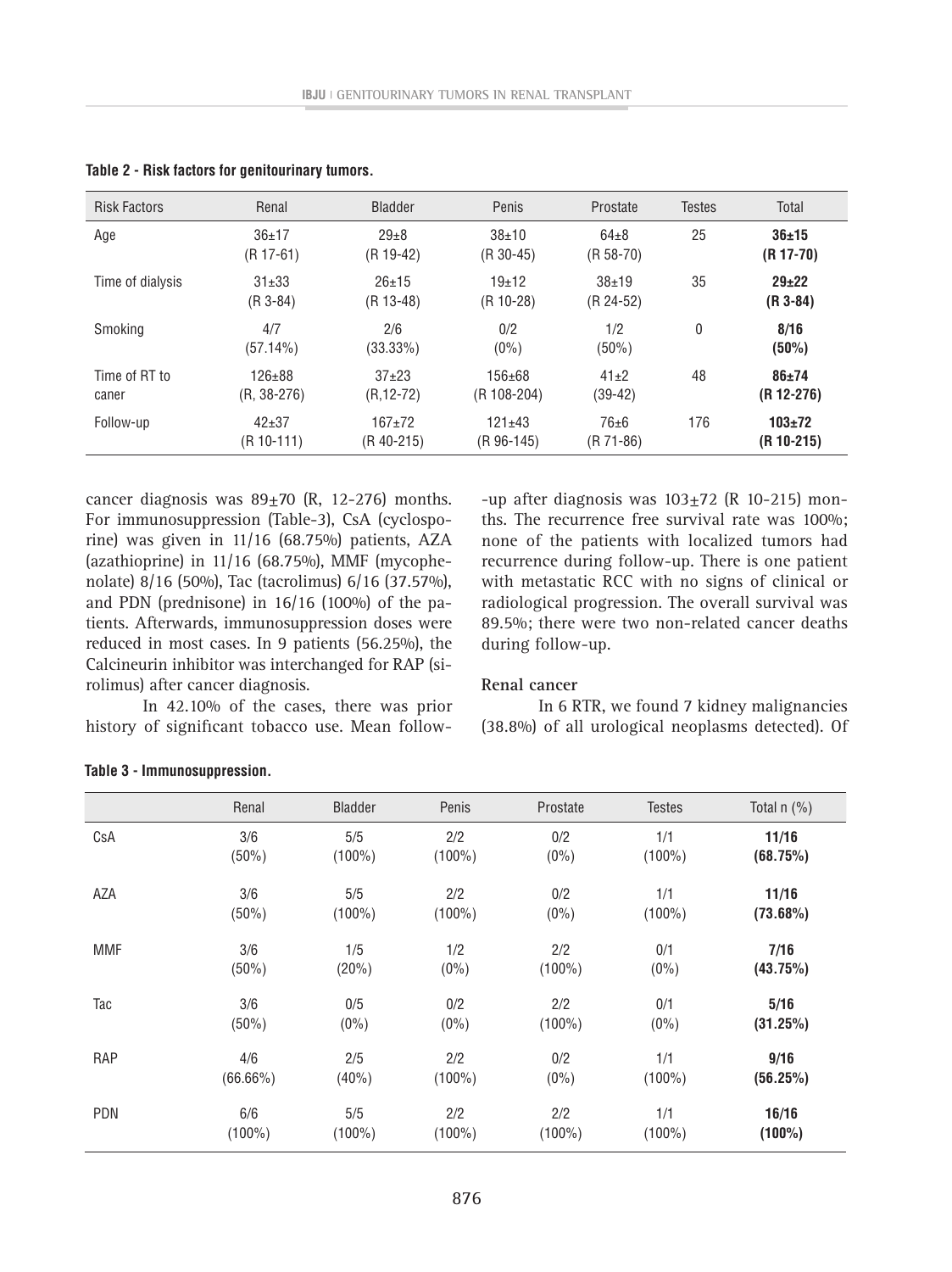| <b>Risk Factors</b>    | Renal                       | <b>Bladder</b>           | Penis                        | Prostate                 | <b>Testes</b> | Total                      |
|------------------------|-----------------------------|--------------------------|------------------------------|--------------------------|---------------|----------------------------|
| Age                    | $36+17$<br>$(R 17-61)$      | $29 + 8$<br>(R 19-42)    | $38 + 10$<br>$(R 30-45)$     | $64 + 8$<br>$(R 58-70)$  | 25            | $36 + 15$<br>$(R 17-70)$   |
| Time of dialysis       | $31 + 33$<br>(R 3-84)       | $26 + 15$<br>(R 13-48)   | 19±12<br>$(R 10-28)$         | $38 + 19$<br>$(R 24-52)$ | 35            | $29 + 22$<br>$(R3-84)$     |
| Smoking                | 4/7<br>$(57.14\%)$          | 2/6<br>$(33.33\%)$       | 0/2<br>$(0\%)$               | 1/2<br>$(50\%)$          | 0             | 8/16<br>(50%)              |
| Time of RT to<br>caner | $126 + 88$<br>$(R, 38-276)$ | $37+23$<br>$(R, 12-72)$  | 156±68<br>(R 108-204)        | $41 + 2$<br>$(39-42)$    | 48            | $86 + 74$<br>$(R 12-276)$  |
| Follow-up              | $42+37$<br>$(R 10-111)$     | $167+72$<br>$(R 40-215)$ | $121 \pm 43$<br>$(R 96-145)$ | $76 + 6$<br>$(R 71-86)$  | 176           | $103 + 72$<br>$(R 10-215)$ |

**Table 2 - Risk factors for genitourinary tumors.**

cancer diagnosis was  $89+70$  (R, 12-276) months. For immunosuppression (Table-3), CsA (cyclosporine) was given in 11/16 (68.75%) patients, AZA (azathioprine) in 11/16 (68.75%), MMF (mycophenolate) 8/16 (50%), Tac (tacrolimus) 6/16 (37.57%), and PDN (prednisone) in 16/16 (100%) of the patients. Afterwards, immunosuppression doses were reduced in most cases. In 9 patients (56.25%), the Calcineurin inhibitor was interchanged for RAP (sirolimus) after cancer diagnosis.

In 42.10% of the cases, there was prior history of significant tobacco use. Mean follow-up after diagnosis was  $103+72$  (R 10-215) months. The recurrence free survival rate was 100%; none of the patients with localized tumors had recurrence during follow-up. There is one patient with metastatic RCC with no signs of clinical or radiological progression. The overall survival was 89.5%; there were two non-related cancer deaths during follow-up.

#### **Renal cancer**

In 6 RTR, we found 7 kidney malignancies (38.8%) of all urological neoplasms detected). Of

|            | Renal       | <b>Bladder</b> | Penis     | Prostate  | <b>Testes</b> | Total $n$ $%$ ) |
|------------|-------------|----------------|-----------|-----------|---------------|-----------------|
| CsA        | 3/6         | 5/5            | 2/2       | 0/2       | 1/1           | 11/16           |
|            | $(50\%)$    | $(100\%)$      | $(100\%)$ | $(0\%)$   | $(100\%)$     | (68.75%)        |
| AZA        | 3/6         | 5/5            | 2/2       | 0/2       | 1/1           | 11/16           |
|            | $(50\%)$    | $(100\%)$      | $(100\%)$ | $(0\%)$   | $(100\%)$     | $(73.68\%)$     |
| MMF        | 3/6         | 1/5            | 1/2       | 2/2       | 0/1           | 7/16            |
|            | $(50\%)$    | (20%)          | $(0\%)$   | $(100\%)$ | $(0\%)$       | (43.75%)        |
| Tac        | 3/6         | 0/5            | 0/2       | 2/2       | 0/1           | 5/16            |
|            | $(50\%)$    | $(0\%)$        | $(0\%)$   | $(100\%)$ | $(0\%)$       | (31.25%)        |
| <b>RAP</b> | 4/6         | 2/5            | 2/2       | 0/2       | 1/1           | 9/16            |
|            | $(66.66\%)$ | (40%           | $(100\%)$ | $(0\%)$   | $(100\%)$     | (56.25%)        |
| PDN        | 6/6         | 5/5            | 2/2       | 2/2       | 1/1           | 16/16           |
|            | $(100\%)$   | $(100\%)$      | $(100\%)$ | $(100\%)$ | $(100\%)$     | $(100\%)$       |

# **Table 3 - Immunosuppression.**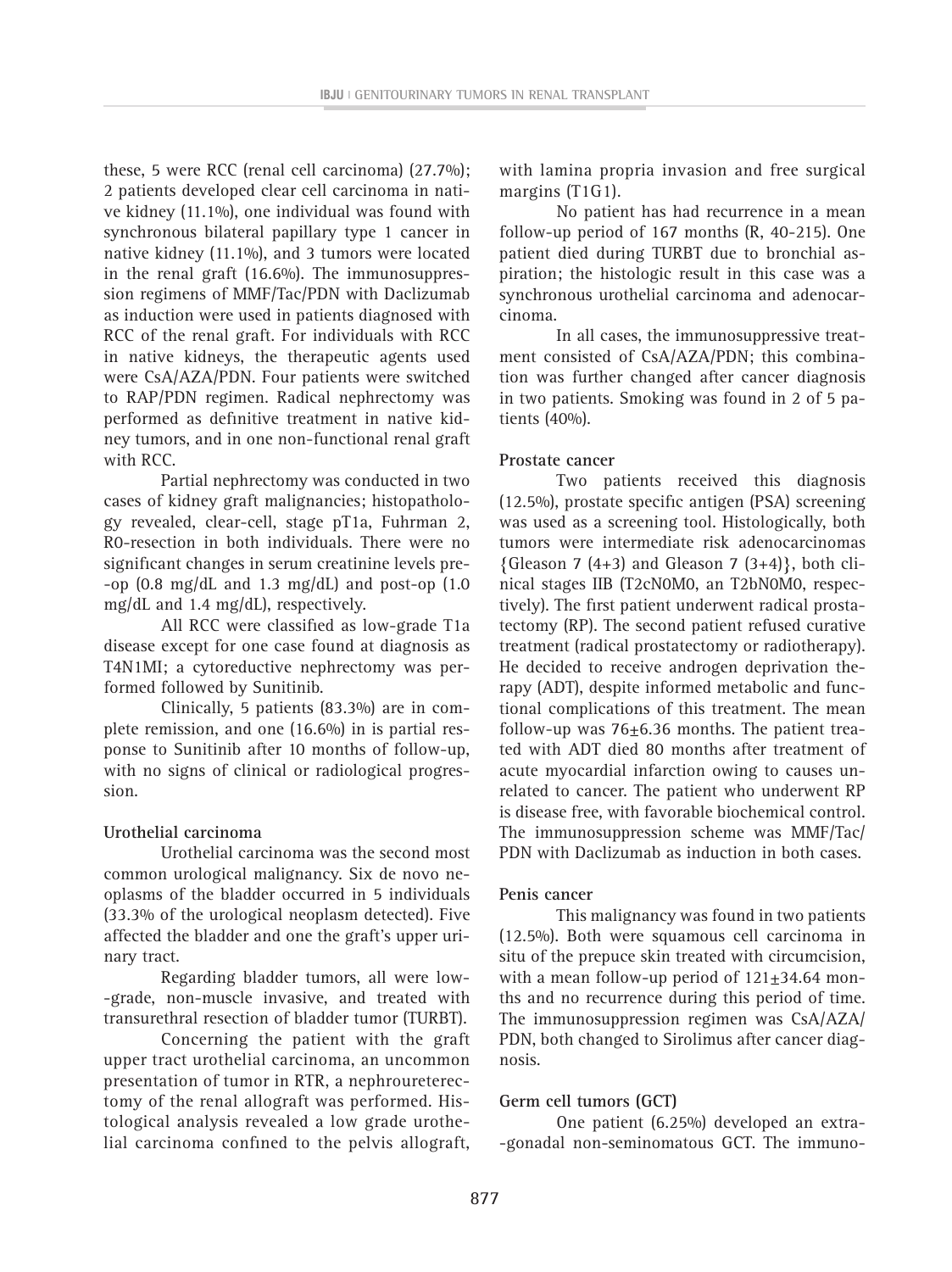these, 5 were RCC (renal cell carcinoma) (27.7%); 2 patients developed clear cell carcinoma in native kidney (11.1%), one individual was found with synchronous bilateral papillary type 1 cancer in native kidney (11.1%), and 3 tumors were located in the renal graft (16.6%). The immunosuppression regimens of MMF/Tac/PDN with Daclizumab as induction were used in patients diagnosed with RCC of the renal graft. For individuals with RCC in native kidneys, the therapeutic agents used were CsA/AZA/PDN. Four patients were switched to RAP/PDN regimen. Radical nephrectomy was performed as definitive treatment in native kidney tumors, and in one non-functional renal graft with RCC.

Partial nephrectomy was conducted in two cases of kidney graft malignancies; histopathology revealed, clear-cell, stage pT1a, Fuhrman 2, R0-resection in both individuals. There were no significant changes in serum creatinine levels pre- -op  $(0.8 \text{ mg/dL}$  and  $1.3 \text{ mg/dL}$  and post-op  $(1.0 \text{ g/m})$ mg/dL and 1.4 mg/dL), respectively.

All RCC were classified as low-grade T1a disease except for one case found at diagnosis as T4N1MI; a cytoreductive nephrectomy was performed followed by Sunitinib.

Clinically, 5 patients (83.3%) are in complete remission, and one (16.6%) in is partial response to Sunitinib after 10 months of follow-up, with no signs of clinical or radiological progression.

# **Urothelial carcinoma**

Urothelial carcinoma was the second most common urological malignancy. Six de novo neoplasms of the bladder occurred in 5 individuals (33.3% of the urological neoplasm detected). Five affected the bladder and one the graft's upper urinary tract.

Regarding bladder tumors, all were low- -grade, non-muscle invasive, and treated with transurethral resection of bladder tumor (TURBT).

Concerning the patient with the graft upper tract urothelial carcinoma, an uncommon presentation of tumor in RTR, a nephroureterectomy of the renal allograft was performed. Histological analysis revealed a low grade urothelial carcinoma confined to the pelvis allograft, with lamina propria invasion and free surgical margins (T1G1).

No patient has had recurrence in a mean follow-up period of 167 months (R, 40-215). One patient died during TURBT due to bronchial aspiration; the histologic result in this case was a synchronous urothelial carcinoma and adenocarcinoma.

In all cases, the immunosuppressive treatment consisted of CsA/AZA/PDN; this combination was further changed after cancer diagnosis in two patients. Smoking was found in 2 of 5 patients (40%).

### **Prostate cancer**

Two patients received this diagnosis (12.5%), prostate specific antigen (PSA) screening was used as a screening tool. Histologically, both tumors were intermediate risk adenocarcinomas  ${Gleason 7 (4+3)}$  and Gleason 7  $(3+4)$ , both clinical stages IIB (T2cN0M0, an T2bN0M0, respectively). The first patient underwent radical prostatectomy (RP). The second patient refused curative treatment (radical prostatectomy or radiotherapy). He decided to receive androgen deprivation therapy (ADT), despite informed metabolic and functional complications of this treatment. The mean follow-up was  $76\pm6.36$  months. The patient treated with ADT died 80 months after treatment of acute myocardial infarction owing to causes unrelated to cancer. The patient who underwent RP is disease free, with favorable biochemical control. The immunosuppression scheme was MMF/Tac/ PDN with Daclizumab as induction in both cases.

#### **Penis cancer**

This malignancy was found in two patients (12.5%). Both were squamous cell carcinoma in situ of the prepuce skin treated with circumcision, with a mean follow-up period of  $121\pm34.64$  months and no recurrence during this period of time. The immunosuppression regimen was CsA/AZA/ PDN, both changed to Sirolimus after cancer diagnosis.

#### **Germ cell tumors (GCT)**

One patient (6.25%) developed an extra- -gonadal non-seminomatous GCT. The immuno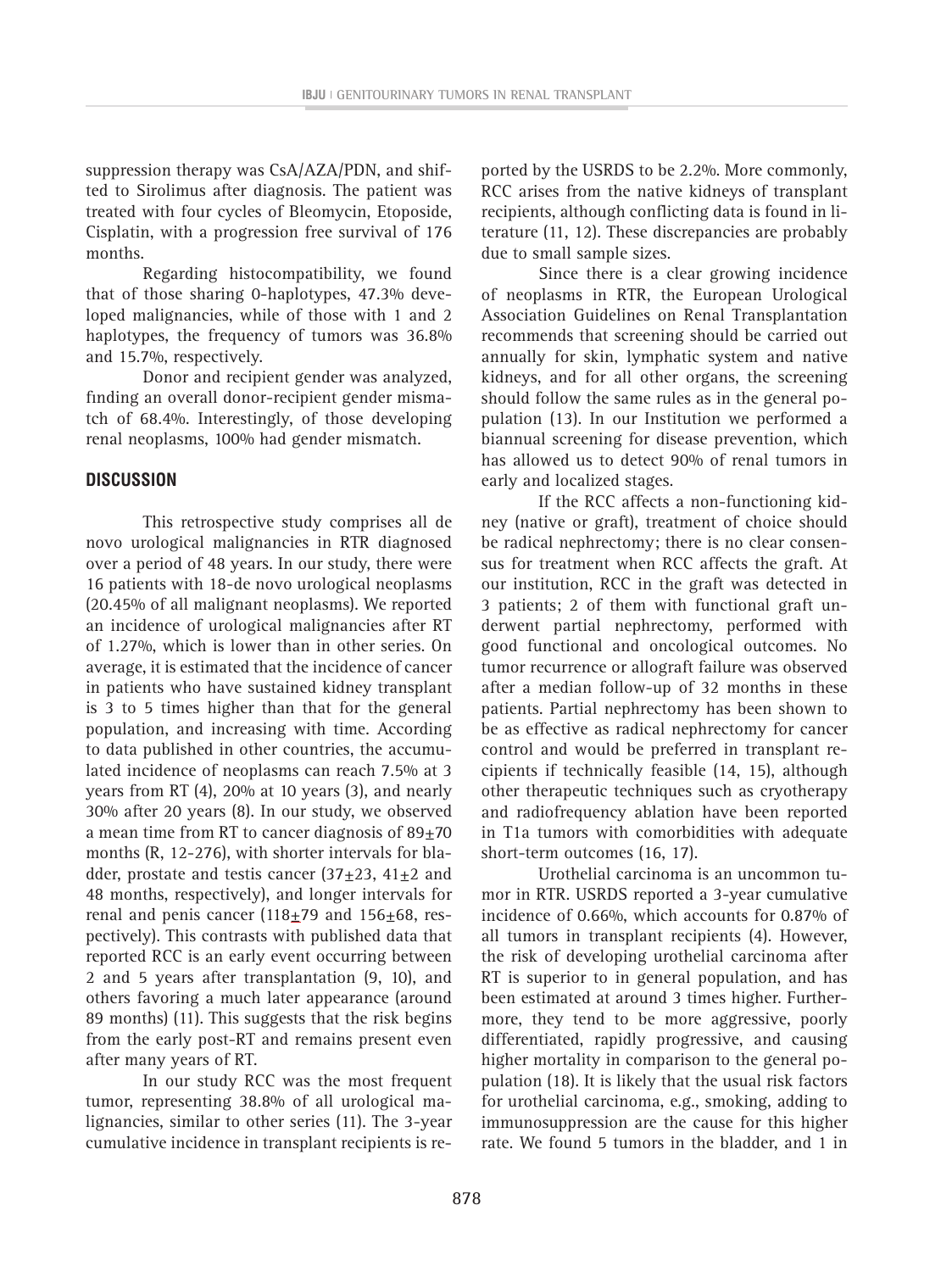suppression therapy was CsA/AZA/PDN, and shifted to Sirolimus after diagnosis. The patient was treated with four cycles of Bleomycin, Etoposide, Cisplatin, with a progression free survival of 176 months.

Regarding histocompatibility, we found that of those sharing 0-haplotypes, 47.3% developed malignancies, while of those with 1 and 2 haplotypes, the frequency of tumors was 36.8% and 15.7%, respectively.

Donor and recipient gender was analyzed, finding an overall donor-recipient gender mismatch of 68.4%. Interestingly, of those developing renal neoplasms, 100% had gender mismatch.

### **DISCUSSION**

This retrospective study comprises all de novo urological malignancies in RTR diagnosed over a period of 48 years. In our study, there were 16 patients with 18-de novo urological neoplasms (20.45% of all malignant neoplasms). We reported an incidence of urological malignancies after RT of 1.27%, which is lower than in other series. On average, it is estimated that the incidence of cancer in patients who have sustained kidney transplant is 3 to 5 times higher than that for the general population, and increasing with time. According to data published in other countries, the accumulated incidence of neoplasms can reach 7.5% at 3 years from RT (4), 20% at 10 years (3), and nearly 30% after 20 years (8). In our study, we observed a mean time from RT to cancer diagnosis of  $89\pm70$ months (R, 12-276), with shorter intervals for bladder, prostate and testis cancer  $(37\pm 23, 41\pm 2,$  and 48 months, respectively), and longer intervals for renal and penis cancer  $(118+79)$  and  $156+68$ , respectively). This contrasts with published data that reported RCC is an early event occurring between 2 and 5 years after transplantation (9, 10), and others favoring a much later appearance (around 89 months) (11). This suggests that the risk begins from the early post-RT and remains present even after many years of RT.

In our study RCC was the most frequent tumor, representing 38.8% of all urological malignancies, similar to other series (11). The 3-year cumulative incidence in transplant recipients is reported by the USRDS to be 2.2%. More commonly, RCC arises from the native kidneys of transplant recipients, although conflicting data is found in literature (11, 12). These discrepancies are probably due to small sample sizes.

Since there is a clear growing incidence of neoplasms in RTR, the European Urological Association Guidelines on Renal Transplantation recommends that screening should be carried out annually for skin, lymphatic system and native kidneys, and for all other organs, the screening should follow the same rules as in the general population (13). In our Institution we performed a biannual screening for disease prevention, which has allowed us to detect 90% of renal tumors in early and localized stages.

If the RCC affects a non-functioning kidney (native or graft), treatment of choice should be radical nephrectomy; there is no clear consensus for treatment when RCC affects the graft. At our institution, RCC in the graft was detected in 3 patients; 2 of them with functional graft underwent partial nephrectomy, performed with good functional and oncological outcomes. No tumor recurrence or allograft failure was observed after a median follow-up of 32 months in these patients. Partial nephrectomy has been shown to be as effective as radical nephrectomy for cancer control and would be preferred in transplant recipients if technically feasible (14, 15), although other therapeutic techniques such as cryotherapy and radiofrequency ablation have been reported in T1a tumors with comorbidities with adequate short-term outcomes (16, 17).

Urothelial carcinoma is an uncommon tumor in RTR. USRDS reported a 3-year cumulative incidence of 0.66%, which accounts for 0.87% of all tumors in transplant recipients (4). However, the risk of developing urothelial carcinoma after RT is superior to in general population, and has been estimated at around 3 times higher. Furthermore, they tend to be more aggressive, poorly differentiated, rapidly progressive, and causing higher mortality in comparison to the general population (18). It is likely that the usual risk factors for urothelial carcinoma, e.g., smoking, adding to immunosuppression are the cause for this higher rate. We found 5 tumors in the bladder, and 1 in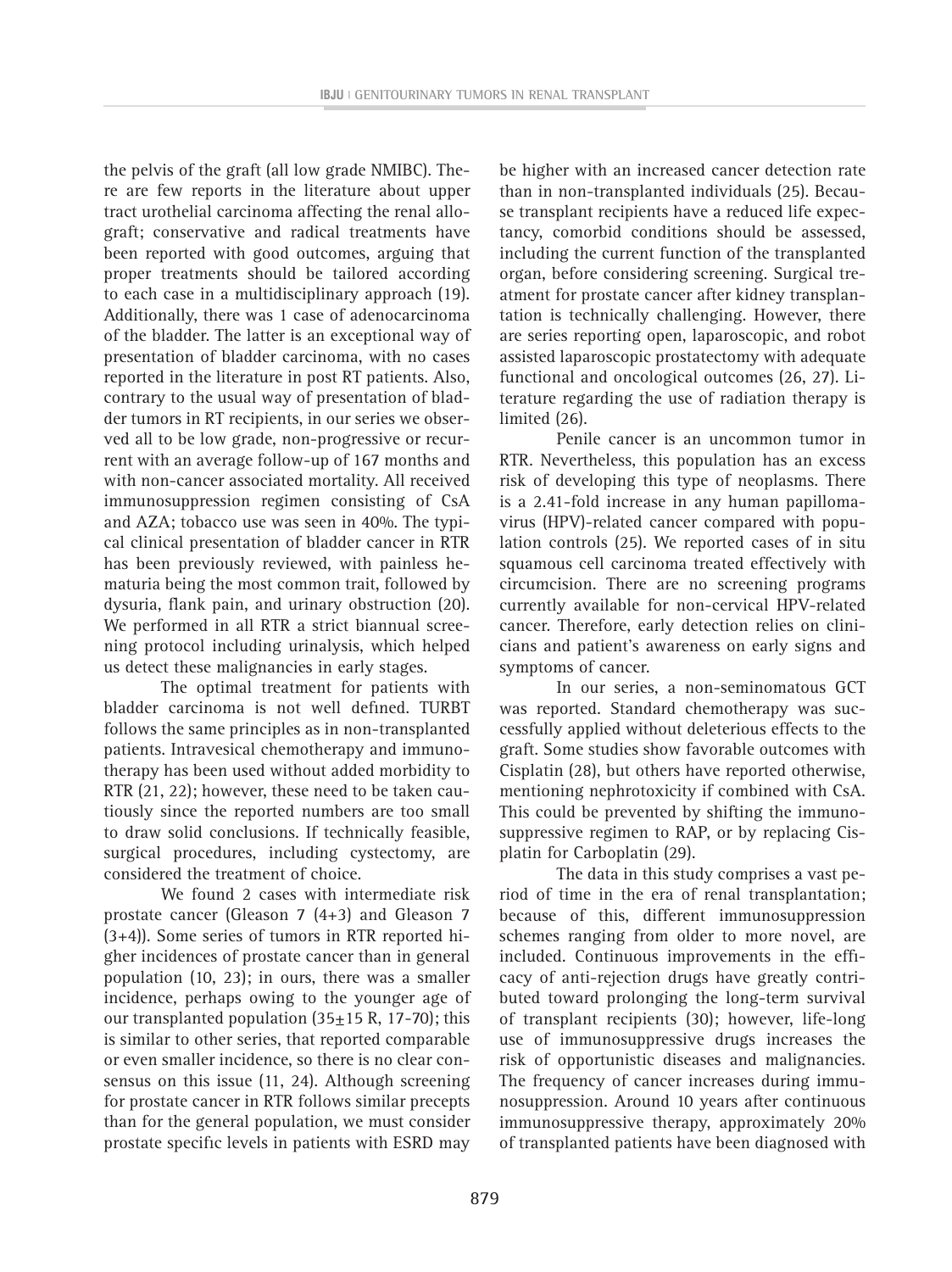the pelvis of the graft (all low grade NMIBC). There are few reports in the literature about upper tract urothelial carcinoma affecting the renal allograft; conservative and radical treatments have been reported with good outcomes, arguing that proper treatments should be tailored according to each case in a multidisciplinary approach (19). Additionally, there was 1 case of adenocarcinoma of the bladder. The latter is an exceptional way of presentation of bladder carcinoma, with no cases reported in the literature in post RT patients. Also, contrary to the usual way of presentation of bladder tumors in RT recipients, in our series we observed all to be low grade, non-progressive or recurrent with an average follow-up of 167 months and with non-cancer associated mortality. All received immunosuppression regimen consisting of CsA and AZA; tobacco use was seen in 40%. The typical clinical presentation of bladder cancer in RTR has been previously reviewed, with painless hematuria being the most common trait, followed by dysuria, flank pain, and urinary obstruction (20). We performed in all RTR a strict biannual screening protocol including urinalysis, which helped us detect these malignancies in early stages.

The optimal treatment for patients with bladder carcinoma is not well defined. TURBT follows the same principles as in non-transplanted patients. Intravesical chemotherapy and immunotherapy has been used without added morbidity to RTR (21, 22); however, these need to be taken cautiously since the reported numbers are too small to draw solid conclusions. If technically feasible, surgical procedures, including cystectomy, are considered the treatment of choice.

We found 2 cases with intermediate risk prostate cancer (Gleason 7 (4+3) and Gleason 7 (3+4)). Some series of tumors in RTR reported higher incidences of prostate cancer than in general population (10, 23); in ours, there was a smaller incidence, perhaps owing to the younger age of our transplanted population  $(35\pm15)$  R, 17-70); this is similar to other series, that reported comparable or even smaller incidence, so there is no clear consensus on this issue (11, 24). Although screening for prostate cancer in RTR follows similar precepts than for the general population, we must consider prostate specific levels in patients with ESRD may be higher with an increased cancer detection rate than in non-transplanted individuals (25). Because transplant recipients have a reduced life expectancy, comorbid conditions should be assessed, including the current function of the transplanted organ, before considering screening. Surgical treatment for prostate cancer after kidney transplantation is technically challenging. However, there are series reporting open, laparoscopic, and robot assisted laparoscopic prostatectomy with adequate functional and oncological outcomes (26, 27). Literature regarding the use of radiation therapy is limited (26).

Penile cancer is an uncommon tumor in RTR. Nevertheless, this population has an excess risk of developing this type of neoplasms. There is a 2.41-fold increase in any human papillomavirus (HPV)-related cancer compared with population controls (25). We reported cases of in situ squamous cell carcinoma treated effectively with circumcision. There are no screening programs currently available for non-cervical HPV-related cancer. Therefore, early detection relies on clinicians and patient's awareness on early signs and symptoms of cancer.

In our series, a non-seminomatous GCT was reported. Standard chemotherapy was successfully applied without deleterious effects to the graft. Some studies show favorable outcomes with Cisplatin (28), but others have reported otherwise, mentioning nephrotoxicity if combined with CsA. This could be prevented by shifting the immunosuppressive regimen to RAP, or by replacing Cisplatin for Carboplatin (29).

The data in this study comprises a vast period of time in the era of renal transplantation; because of this, different immunosuppression schemes ranging from older to more novel, are included. Continuous improvements in the efficacy of anti-rejection drugs have greatly contributed toward prolonging the long-term survival of transplant recipients (30); however, life-long use of immunosuppressive drugs increases the risk of opportunistic diseases and malignancies. The frequency of cancer increases during immunosuppression. Around 10 years after continuous immunosuppressive therapy, approximately 20% of transplanted patients have been diagnosed with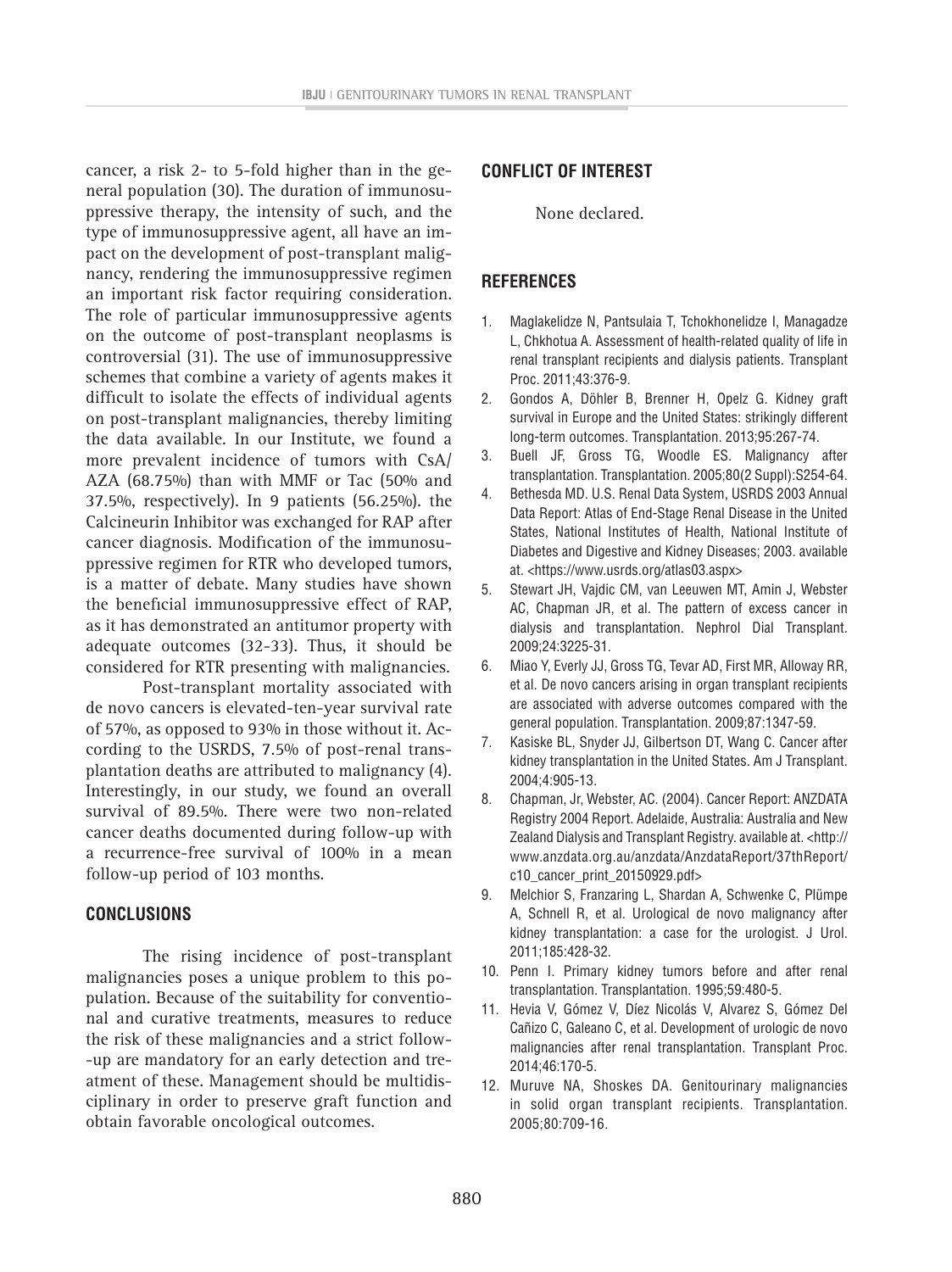cancer, a risk 2- to 5-fold higher than in the general population (30). The duration of immunosuppressive therapy, the intensity of such, and the type of immunosuppressive agent, all have an impact on the development of post-transplant malignancy, rendering the immunosuppressive regimen an important risk factor requiring consideration. The role of particular immunosuppressive agents on the outcome of post-transplant neoplasms is controversial (31). The use of immunosuppressive schemes that combine a variety of agents makes it difficult to isolate the effects of individual agents on post-transplant malignancies, thereby limiting the data available. In our Institute, we found a more prevalent incidence of tumors with CsA/ AZA (68.75%) than with MMF or Tac (50% and 37.5%, respectively). In 9 patients (56.25%). the Calcineurin Inhibitor was exchanged for RAP after cancer diagnosis. Modification of the immunosuppressive regimen for RTR who developed tumors, is a matter of debate. Many studies have shown the beneficial immunosuppressive effect of RAP, as it has demonstrated an antitumor property with adequate outcomes (32-33). Thus, it should be considered for RTR presenting with malignancies.

Post-transplant mortality associated with de novo cancers is elevated-ten-year survival rate of 57%, as opposed to 93% in those without it. According to the USRDS, 7.5% of post-renal transplantation deaths are attributed to malignancy (4). Interestingly, in our study, we found an overall survival of 89.5%. There were two non-related cancer deaths documented during follow-up with a recurrence-free survival of 100% in a mean follow-up period of 103 months.

#### **CONCLUSIONS**

The rising incidence of post-transplant malignancies poses a unique problem to this population. Because of the suitability for conventional and curative treatments, measures to reduce the risk of these malignancies and a strict follow- -up are mandatory for an early detection and treatment of these. Management should be multidisciplinary in order to preserve graft function and obtain favorable oncological outcomes.

# **CONFLICT OF INTEREST**

None declared.

#### **REFERENCES**

- 1. Maglakelidze N, Pantsulaia T, Tchokhonelidze I, Managadze L, Chkhotua A. Assessment of health-related quality of life in renal transplant recipients and dialysis patients. Transplant Proc. 2011;43:376-9.
- 2. Gondos A, Döhler B, Brenner H, Opelz G. Kidney graft survival in Europe and the United States: strikingly different long-term outcomes. Transplantation. 2013;95:267-74.
- 3. Buell JF, Gross TG, Woodle ES. Malignancy after transplantation. Transplantation. 2005;80(2 Suppl):S254-64.
- 4. Bethesda MD. U.S. Renal Data System, USRDS 2003 Annual Data Report: Atlas of End-Stage Renal Disease in the United States, National Institutes of Health, National Institute of Diabetes and Digestive and Kidney Diseases; 2003. available at. <https://www.usrds.org/atlas03.aspx>
- 5. Stewart JH, Vajdic CM, van Leeuwen MT, Amin J, Webster AC, Chapman JR, et al. The pattern of excess cancer in dialysis and transplantation. Nephrol Dial Transplant. 2009;24:3225-31.
- 6. Miao Y, Everly JJ, Gross TG, Tevar AD, First MR, Alloway RR, et al. De novo cancers arising in organ transplant recipients are associated with adverse outcomes compared with the general population. Transplantation. 2009;87:1347-59.
- 7. Kasiske BL, Snyder JJ, Gilbertson DT, Wang C. Cancer after kidney transplantation in the United States. Am J Transplant. 2004;4:905-13.
- 8. Chapman, Jr, Webster, AC. (2004). Cancer Report: ANZDATA Registry 2004 Report. Adelaide, Australia: Australia and New Zealand Dialysis and Transplant Registry. available at. <http:// www.anzdata.org.au/anzdata/AnzdataReport/37thReport/ c10\_cancer\_print\_20150929.pdf>
- 9. Melchior S, Franzaring L, Shardan A, Schwenke C, Plümpe A, Schnell R, et al. Urological de novo malignancy after kidney transplantation: a case for the urologist. J Urol. 2011;185:428-32.
- 10. Penn I. Primary kidney tumors before and after renal transplantation. Transplantation. 1995;59:480-5.
- 11. Hevia V, Gómez V, Díez Nicolás V, Alvarez S, Gómez Del Cañizo C, Galeano C, et al. Development of urologic de novo malignancies after renal transplantation. Transplant Proc. 2014;46:170-5.
- 12. Muruve NA, Shoskes DA. Genitourinary malignancies in solid organ transplant recipients. Transplantation. 2005;80:709-16.